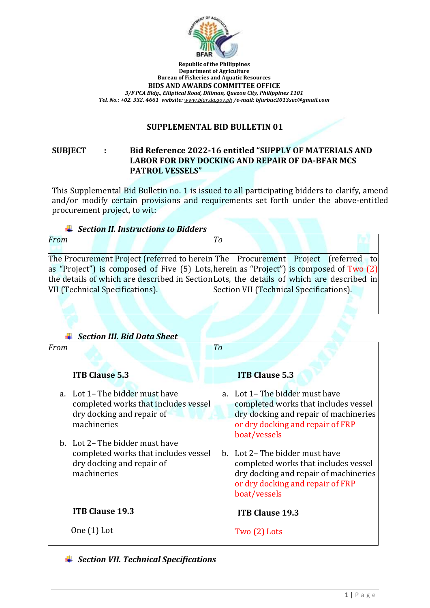

**Republic of the Philippines Department of Agriculture Bureau of Fisheries and Aquatic Resources BIDS AND AWARDS COMMITTEE OFFICE** *3/F PCA Bldg., Elliptical Road, Diliman, Quezon City, Philippines 1101 Tel. No.: +02. 332. 4661 website: [www.bfar.da.gov.ph](http://www.bfar.da.gov.ph/) /e-mail: bfarbac2013sec@gmail.com*

### **SUPPLEMENTAL BID BULLETIN 01**

### **SUBJECT : Bid Reference 2022-16 entitled "SUPPLY OF MATERIALS AND LABOR FOR DRY DOCKING AND REPAIR OF DA-BFAR MCS PATROL VESSELS"**

This Supplemental Bid Bulletin no. 1 is issued to all participating bidders to clarify, amend and/or modify certain provisions and requirements set forth under the above-entitled procurement project, to wit:

| <b>↓</b> Section II. Instructions to Bidders |                                 |  |  |  |                                                                                           |    |  |  |  |                                         |  |
|----------------------------------------------|---------------------------------|--|--|--|-------------------------------------------------------------------------------------------|----|--|--|--|-----------------------------------------|--|
| From                                         |                                 |  |  |  |                                                                                           | Tо |  |  |  |                                         |  |
|                                              |                                 |  |  |  |                                                                                           |    |  |  |  |                                         |  |
|                                              |                                 |  |  |  | The Procurement Project (referred to herein The Procurement Project (referred to          |    |  |  |  |                                         |  |
|                                              |                                 |  |  |  | as "Project") is composed of Five (5) Lots, herein as "Project") is composed of Two (2)   |    |  |  |  |                                         |  |
|                                              |                                 |  |  |  | the details of which are described in Section Lots, the details of which are described in |    |  |  |  |                                         |  |
|                                              | VII (Technical Specifications). |  |  |  |                                                                                           |    |  |  |  | Section VII (Technical Specifications). |  |
|                                              |                                 |  |  |  |                                                                                           |    |  |  |  |                                         |  |

# *Section III. Bid Data Sheet*

| From |                                                                                                                     | To |                                                                                                                                                                      |
|------|---------------------------------------------------------------------------------------------------------------------|----|----------------------------------------------------------------------------------------------------------------------------------------------------------------------|
|      | <b>ITB Clause 5.3</b>                                                                                               |    | <b>ITB Clause 5.3</b>                                                                                                                                                |
|      | a. Lot 1 – The bidder must have<br>completed works that includes vessel<br>dry docking and repair of<br>machineries |    | a. Lot 1 – The bidder must have<br>completed works that includes vessel<br>dry docking and repair of machineries<br>or dry docking and repair of FRP<br>boat/vessels |
|      | b. Lot 2– The bidder must have<br>completed works that includes vessel<br>dry docking and repair of<br>machineries  |    | b. Lot 2- The bidder must have<br>completed works that includes vessel<br>dry docking and repair of machineries<br>or dry docking and repair of FRP<br>boat/vessels  |
|      | <b>ITB Clause 19.3</b>                                                                                              |    | <b>ITB Clause 19.3</b>                                                                                                                                               |
|      | One $(1)$ Lot                                                                                                       |    | Two $(2)$ Lots                                                                                                                                                       |

*Section VII. Technical Specifications*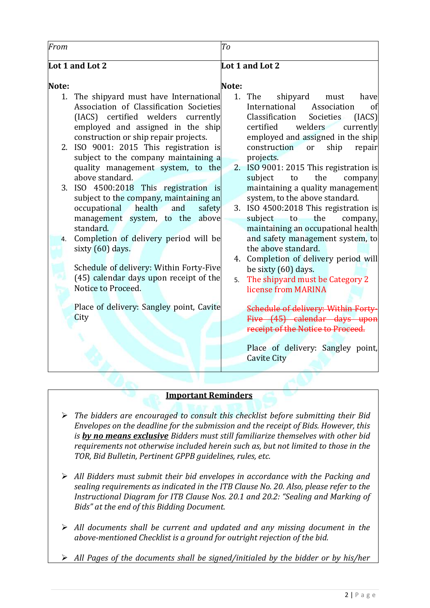| From                 |                                                                                                                                                                                                                                                                                                                                                                                                                                                                                                                                                                                                                                                                                                                                                | T <sub>o</sub>  |                                                                                                                                                                                                                                                                                                                                                                                                                                                                                                                                                                                                                                                                                                                                                                                                                                                                                         |  |  |
|----------------------|------------------------------------------------------------------------------------------------------------------------------------------------------------------------------------------------------------------------------------------------------------------------------------------------------------------------------------------------------------------------------------------------------------------------------------------------------------------------------------------------------------------------------------------------------------------------------------------------------------------------------------------------------------------------------------------------------------------------------------------------|-----------------|-----------------------------------------------------------------------------------------------------------------------------------------------------------------------------------------------------------------------------------------------------------------------------------------------------------------------------------------------------------------------------------------------------------------------------------------------------------------------------------------------------------------------------------------------------------------------------------------------------------------------------------------------------------------------------------------------------------------------------------------------------------------------------------------------------------------------------------------------------------------------------------------|--|--|
|                      | Lot 1 and Lot 2                                                                                                                                                                                                                                                                                                                                                                                                                                                                                                                                                                                                                                                                                                                                | Lot 1 and Lot 2 |                                                                                                                                                                                                                                                                                                                                                                                                                                                                                                                                                                                                                                                                                                                                                                                                                                                                                         |  |  |
| Note:                |                                                                                                                                                                                                                                                                                                                                                                                                                                                                                                                                                                                                                                                                                                                                                | Note:           |                                                                                                                                                                                                                                                                                                                                                                                                                                                                                                                                                                                                                                                                                                                                                                                                                                                                                         |  |  |
| 1.<br>2.<br>3.<br>4. | The shipyard must have International<br>Association of Classification Societies<br>(IACS) certified welders currently<br>employed and assigned in the ship<br>construction or ship repair projects.<br>ISO 9001: 2015 This registration is<br>subject to the company maintaining a<br>quality management system, to the<br>above standard.<br>ISO 4500:2018 This registration is<br>subject to the company, maintaining an<br>occupational health<br>and<br>safety<br>management system, to the above<br>standard.<br>Completion of delivery period will be<br>sixty (60) days.<br>Schedule of delivery: Within Forty-Five<br>(45) calendar days upon receipt of the<br>Notice to Proceed.<br>Place of delivery: Sangley point, Cavite<br>City | 1.<br>5.        | The<br>shipyard<br>must<br>have<br>International<br>Association<br>of<br>Classification<br>Societies<br>[IACS]<br>certified<br>welders<br>currently<br>employed and assigned in the ship<br>ship<br>construction<br><sub>or</sub><br>repair<br>projects.<br>2. ISO 9001: 2015 This registration is<br>the<br>subject<br>to<br>company<br>maintaining a quality management<br>system, to the above standard.<br>3. ISO 4500:2018 This registration is<br>the<br>subject to<br>company,<br>maintaining an occupational health<br>and safety management system, to<br>the above standard.<br>4. Completion of delivery period will<br>be sixty (60) days.<br>The shipyard must be Category 2<br>license from MARINA<br>Schedule of delivery: Within Forty-<br>Five (45) calendar days upon<br>receipt of the Notice to Proceed.<br>Place of delivery: Sangley point,<br><b>Cavite City</b> |  |  |
|                      |                                                                                                                                                                                                                                                                                                                                                                                                                                                                                                                                                                                                                                                                                                                                                |                 |                                                                                                                                                                                                                                                                                                                                                                                                                                                                                                                                                                                                                                                                                                                                                                                                                                                                                         |  |  |

### **Important Reminders**

- *The bidders are encouraged to consult this checklist before submitting their Bid Envelopes on the deadline for the submission and the receipt of Bids. However, this is by no means exclusive Bidders must still familiarize themselves with other bid requirements not otherwise included herein such as, but not limited to those in the TOR, Bid Bulletin, Pertinent GPPB guidelines, rules, etc.*
- *All Bidders must submit their bid envelopes in accordance with the Packing and sealing requirements as indicated in the ITB Clause No. 20. Also, please refer to the Instructional Diagram for ITB Clause Nos. 20.1 and 20.2: "Sealing and Marking of Bids" at the end of this Bidding Document.*
- *All documents shall be current and updated and any missing document in the above-mentioned Checklist is a ground for outright rejection of the bid.*
- *All Pages of the documents shall be signed/initialed by the bidder or by his/her*